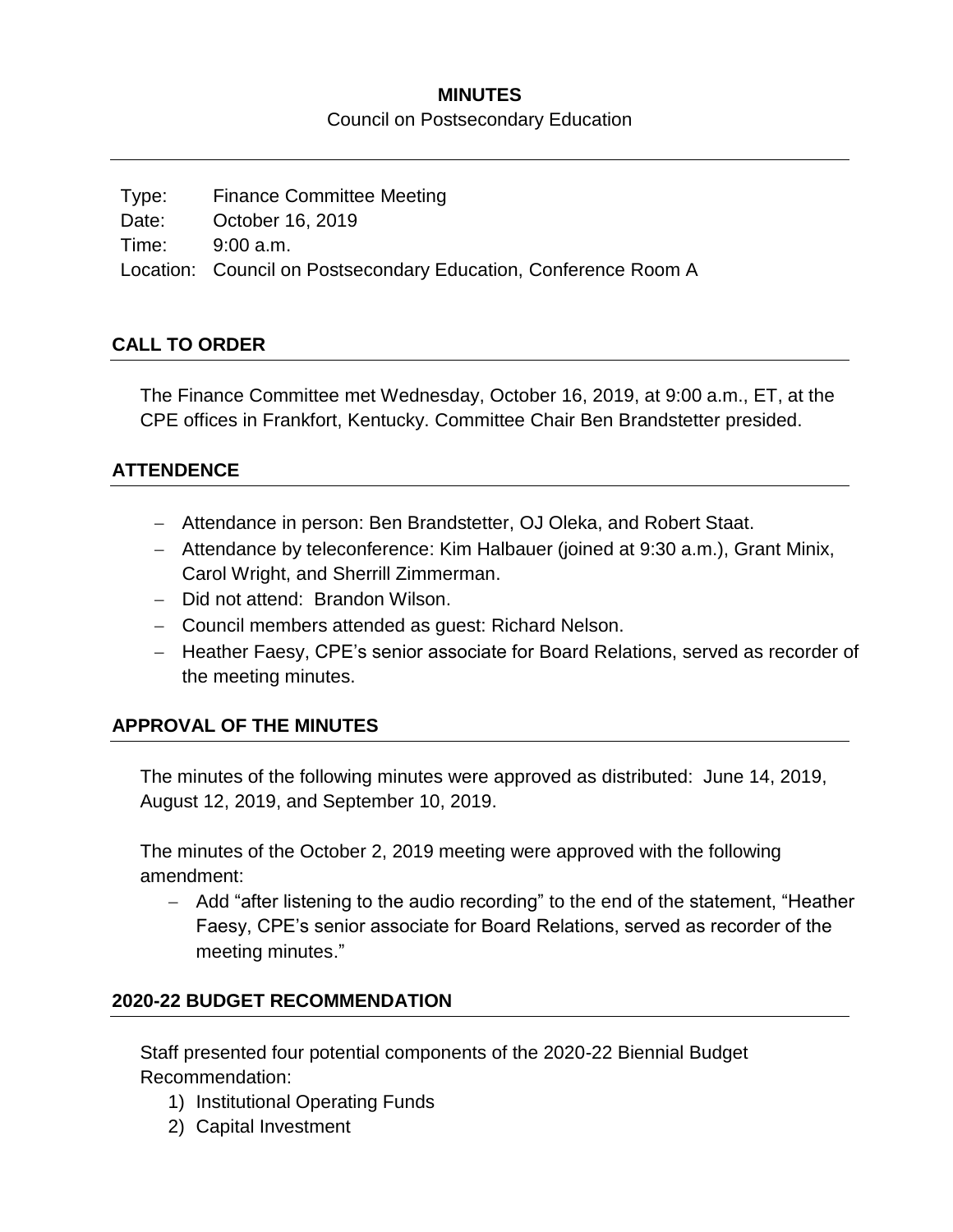### **MINUTES**

Council on Postsecondary Education

Type: Finance Committee Meeting Date: October 16, 2019 Time: 9:00 a.m. Location: Council on Postsecondary Education, Conference Room A

## **CALL TO ORDER**

The Finance Committee met Wednesday, October 16, 2019, at 9:00 a.m., ET, at the CPE offices in Frankfort, Kentucky. Committee Chair Ben Brandstetter presided.

### **ATTENDENCE**

- Attendance in person: Ben Brandstetter, OJ Oleka, and Robert Staat.
- Attendance by teleconference: Kim Halbauer (joined at 9:30 a.m.), Grant Minix, Carol Wright, and Sherrill Zimmerman.
- Did not attend: Brandon Wilson.
- Council members attended as guest: Richard Nelson.
- Heather Faesy, CPE's senior associate for Board Relations, served as recorder of the meeting minutes.

# **APPROVAL OF THE MINUTES**

The minutes of the following minutes were approved as distributed: June 14, 2019, August 12, 2019, and September 10, 2019.

The minutes of the October 2, 2019 meeting were approved with the following amendment:

- Add "after listening to the audio recording" to the end of the statement, "Heather Faesy, CPE's senior associate for Board Relations, served as recorder of the meeting minutes."

### **2020-22 BUDGET RECOMMENDATION**

Staff presented four potential components of the 2020-22 Biennial Budget Recommendation:

- 1) Institutional Operating Funds
- 2) Capital Investment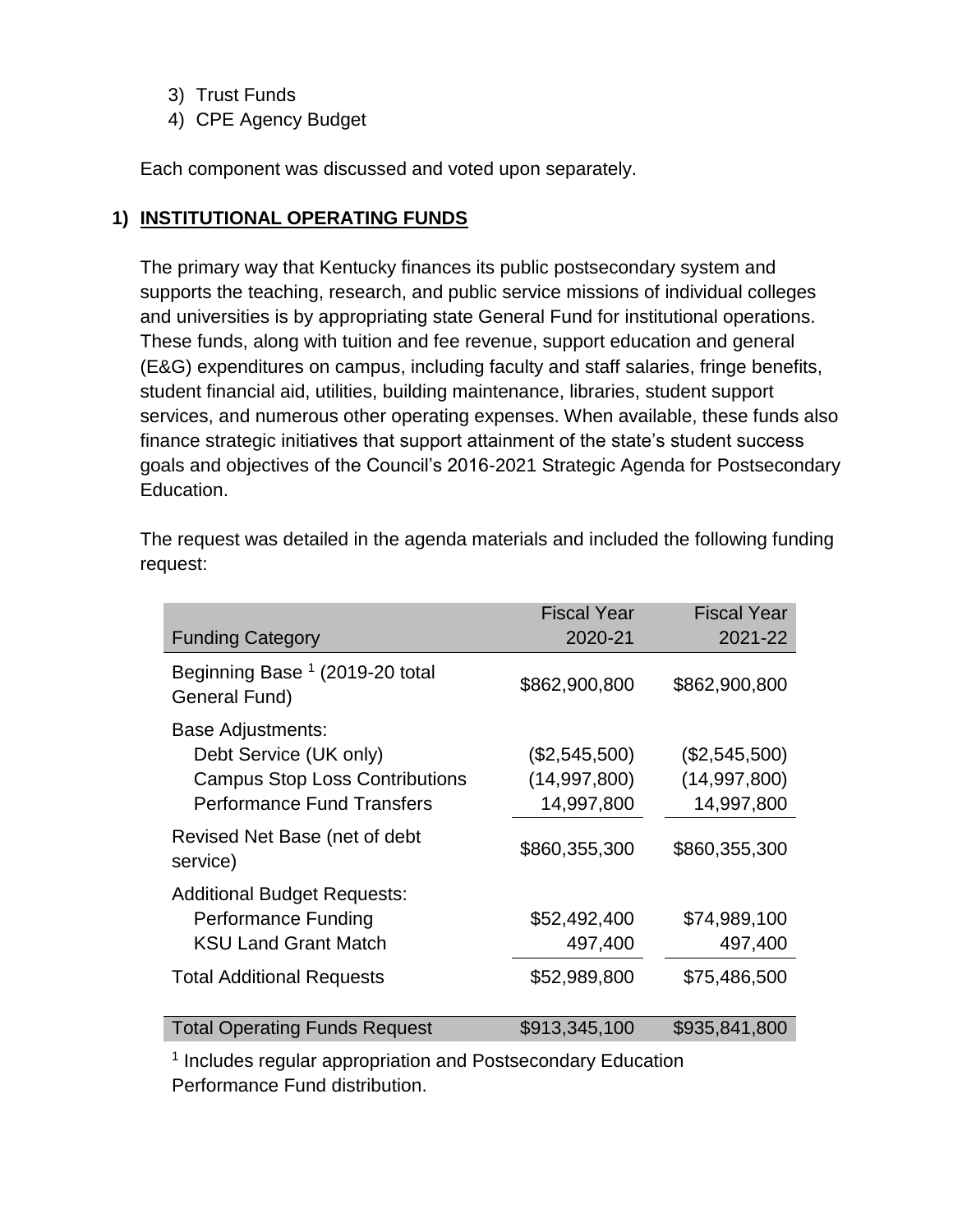- 3) Trust Funds
- 4) CPE Agency Budget

Each component was discussed and voted upon separately.

### **1) INSTITUTIONAL OPERATING FUNDS**

The primary way that Kentucky finances its public postsecondary system and supports the teaching, research, and public service missions of individual colleges and universities is by appropriating state General Fund for institutional operations. These funds, along with tuition and fee revenue, support education and general (E&G) expenditures on campus, including faculty and staff salaries, fringe benefits, student financial aid, utilities, building maintenance, libraries, student support services, and numerous other operating expenses. When available, these funds also finance strategic initiatives that support attainment of the state's student success goals and objectives of the Council's 2016-2021 Strategic Agenda for Postsecondary Education.

Fiscal Year Fiscal Year Funding Category 2020-21 2021-22 Beginning Base <sup>1</sup> (2019-20 total General Fund) \$862,900,800 \$862,900,800 Base Adjustments: Debt Service (UK only) (\$2,545,500) (\$2,545,500) Campus Stop Loss Contributions (14,997,800) (14,997,800) Performance Fund Transfers 14,997,800 14,997,800 Revised Net Base (net of debt service) \$860,355,300 \$860,355,300 Additional Budget Requests: Performance Funding  $$52,492,400$  \$74,989,100 KSU Land Grant Match 497,400 497,400 Total Additional Requests \$52,989,800 \$75,486,500 Total Operating Funds Request  $$913,345,100$  \$935,841,800

The request was detailed in the agenda materials and included the following funding request:

<sup>1</sup> Includes regular appropriation and Postsecondary Education Performance Fund distribution.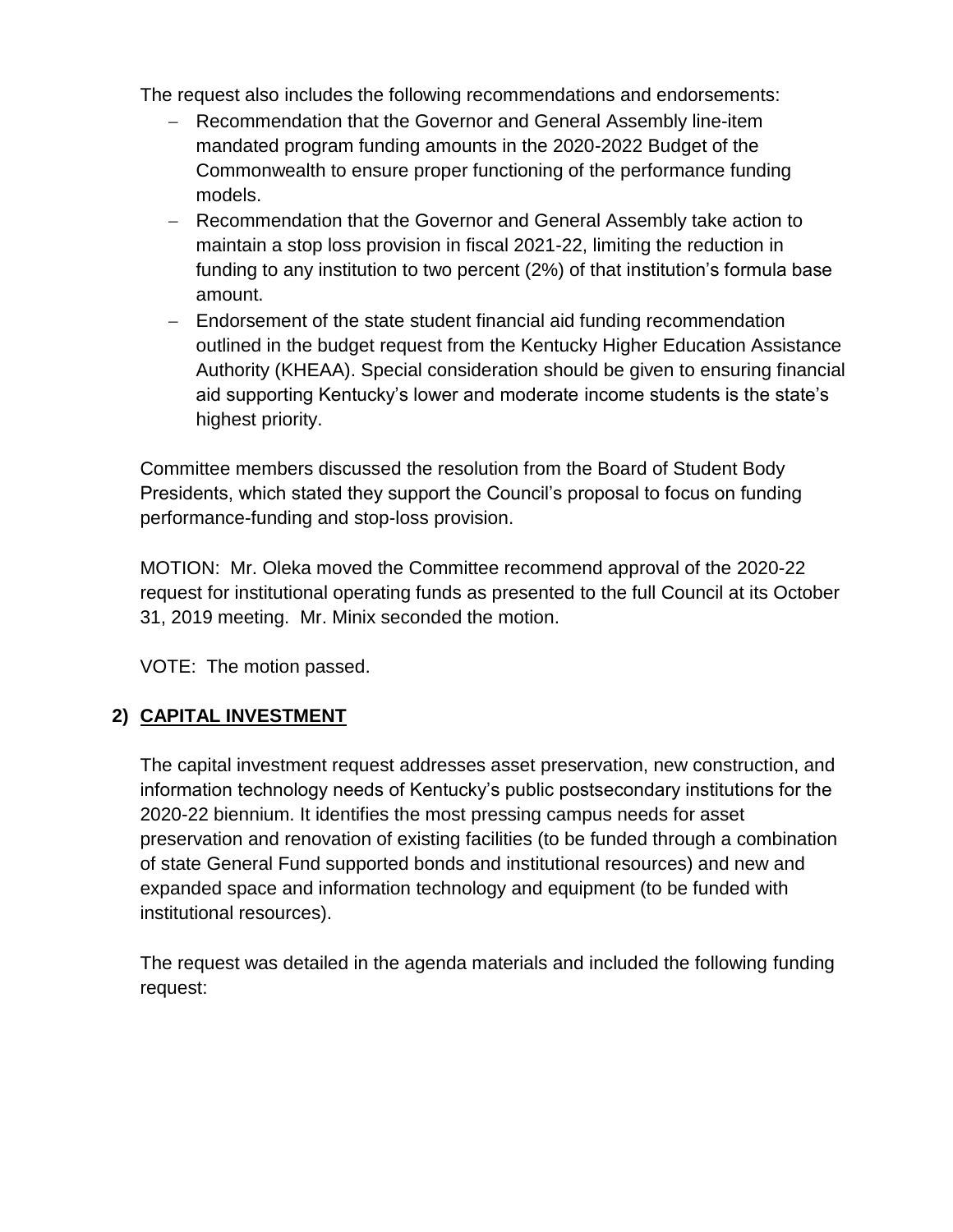The request also includes the following recommendations and endorsements:

- Recommendation that the Governor and General Assembly line-item mandated program funding amounts in the 2020-2022 Budget of the Commonwealth to ensure proper functioning of the performance funding models.
- Recommendation that the Governor and General Assembly take action to maintain a stop loss provision in fiscal 2021-22, limiting the reduction in funding to any institution to two percent (2%) of that institution's formula base amount.
- Endorsement of the state student financial aid funding recommendation outlined in the budget request from the Kentucky Higher Education Assistance Authority (KHEAA). Special consideration should be given to ensuring financial aid supporting Kentucky's lower and moderate income students is the state's highest priority.

Committee members discussed the resolution from the Board of Student Body Presidents, which stated they support the Council's proposal to focus on funding performance-funding and stop-loss provision.

MOTION: Mr. Oleka moved the Committee recommend approval of the 2020-22 request for institutional operating funds as presented to the full Council at its October 31, 2019 meeting. Mr. Minix seconded the motion.

VOTE: The motion passed.

# **2) CAPITAL INVESTMENT**

The capital investment request addresses asset preservation, new construction, and information technology needs of Kentucky's public postsecondary institutions for the 2020-22 biennium. It identifies the most pressing campus needs for asset preservation and renovation of existing facilities (to be funded through a combination of state General Fund supported bonds and institutional resources) and new and expanded space and information technology and equipment (to be funded with institutional resources).

The request was detailed in the agenda materials and included the following funding request: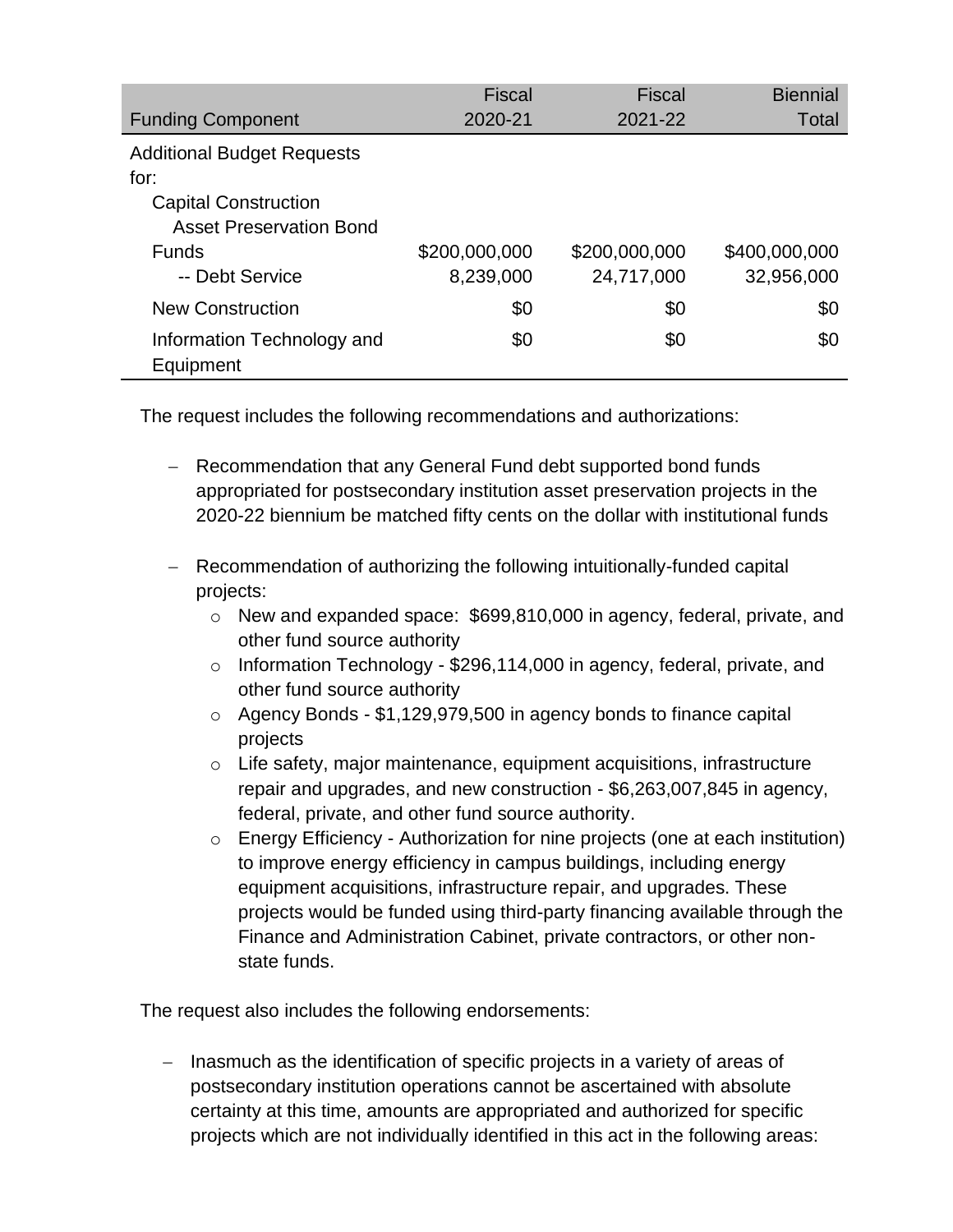|                                   | <b>Fiscal</b> | <b>Fiscal</b> | <b>Biennial</b> |
|-----------------------------------|---------------|---------------|-----------------|
| <b>Funding Component</b>          | 2020-21       | 2021-22       | <b>Total</b>    |
| <b>Additional Budget Requests</b> |               |               |                 |
| for:                              |               |               |                 |
| <b>Capital Construction</b>       |               |               |                 |
| <b>Asset Preservation Bond</b>    |               |               |                 |
| <b>Funds</b>                      | \$200,000,000 | \$200,000,000 | \$400,000,000   |
| -- Debt Service                   | 8,239,000     | 24,717,000    | 32,956,000      |
| <b>New Construction</b>           | \$0           | \$0           | \$0             |
| Information Technology and        | \$0           | \$0           | \$0             |
| Equipment                         |               |               |                 |

The request includes the following recommendations and authorizations:

- Recommendation that any General Fund debt supported bond funds appropriated for postsecondary institution asset preservation projects in the 2020-22 biennium be matched fifty cents on the dollar with institutional funds
- Recommendation of authorizing the following intuitionally-funded capital projects:
	- o New and expanded space: \$699,810,000 in agency, federal, private, and other fund source authority
	- o Information Technology \$296,114,000 in agency, federal, private, and other fund source authority
	- o Agency Bonds \$1,129,979,500 in agency bonds to finance capital projects
	- o Life safety, major maintenance, equipment acquisitions, infrastructure repair and upgrades, and new construction - \$6,263,007,845 in agency, federal, private, and other fund source authority.
	- o Energy Efficiency Authorization for nine projects (one at each institution) to improve energy efficiency in campus buildings, including energy equipment acquisitions, infrastructure repair, and upgrades. These projects would be funded using third-party financing available through the Finance and Administration Cabinet, private contractors, or other nonstate funds.

The request also includes the following endorsements:

- Inasmuch as the identification of specific projects in a variety of areas of postsecondary institution operations cannot be ascertained with absolute certainty at this time, amounts are appropriated and authorized for specific projects which are not individually identified in this act in the following areas: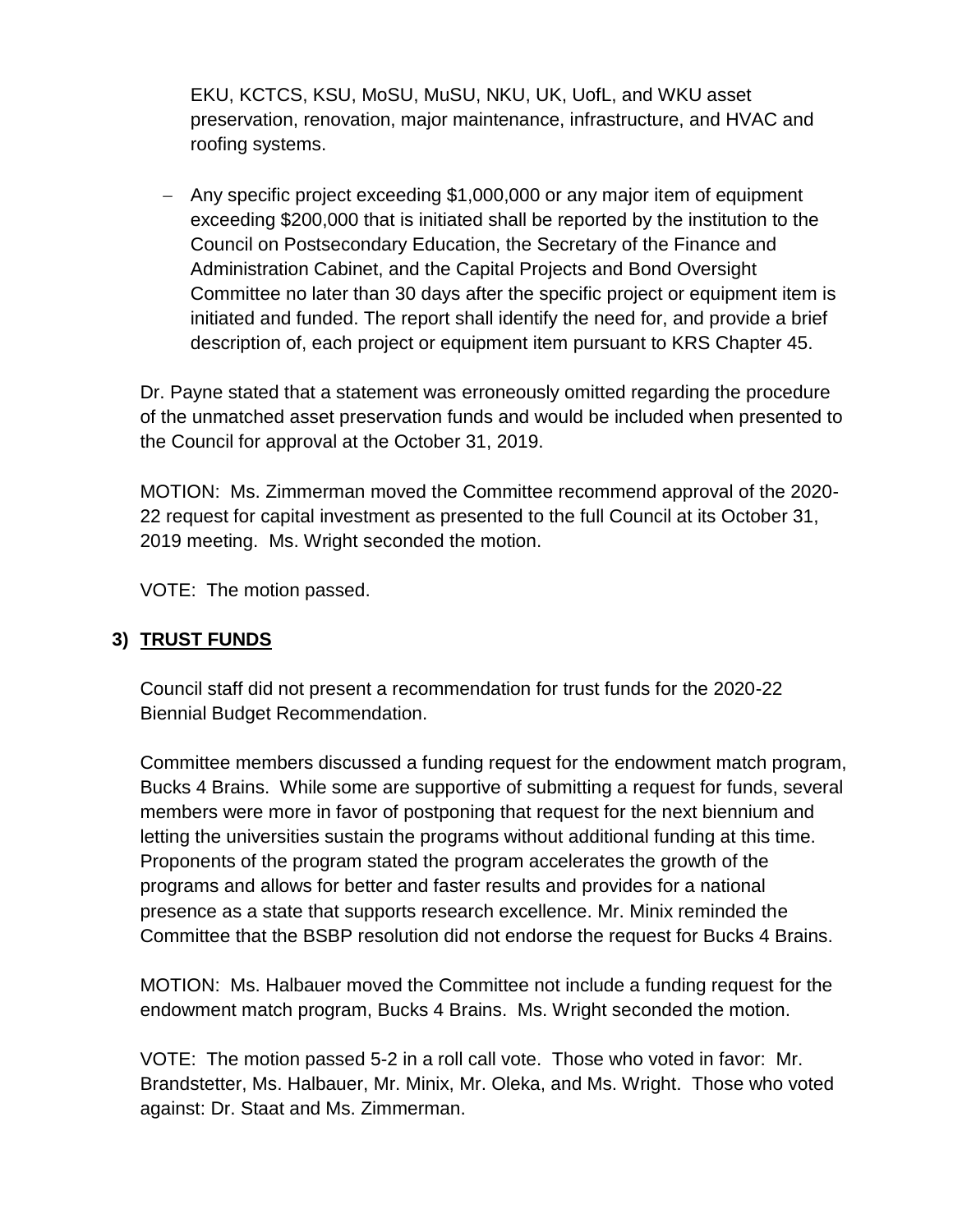EKU, KCTCS, KSU, MoSU, MuSU, NKU, UK, UofL, and WKU asset preservation, renovation, major maintenance, infrastructure, and HVAC and roofing systems.

 Any specific project exceeding \$1,000,000 or any major item of equipment exceeding \$200,000 that is initiated shall be reported by the institution to the Council on Postsecondary Education, the Secretary of the Finance and Administration Cabinet, and the Capital Projects and Bond Oversight Committee no later than 30 days after the specific project or equipment item is initiated and funded. The report shall identify the need for, and provide a brief description of, each project or equipment item pursuant to KRS Chapter 45.

Dr. Payne stated that a statement was erroneously omitted regarding the procedure of the unmatched asset preservation funds and would be included when presented to the Council for approval at the October 31, 2019.

MOTION: Ms. Zimmerman moved the Committee recommend approval of the 2020- 22 request for capital investment as presented to the full Council at its October 31, 2019 meeting. Ms. Wright seconded the motion.

VOTE: The motion passed.

### **3) TRUST FUNDS**

Council staff did not present a recommendation for trust funds for the 2020-22 Biennial Budget Recommendation.

Committee members discussed a funding request for the endowment match program, Bucks 4 Brains. While some are supportive of submitting a request for funds, several members were more in favor of postponing that request for the next biennium and letting the universities sustain the programs without additional funding at this time. Proponents of the program stated the program accelerates the growth of the programs and allows for better and faster results and provides for a national presence as a state that supports research excellence. Mr. Minix reminded the Committee that the BSBP resolution did not endorse the request for Bucks 4 Brains.

MOTION: Ms. Halbauer moved the Committee not include a funding request for the endowment match program, Bucks 4 Brains. Ms. Wright seconded the motion.

VOTE: The motion passed 5-2 in a roll call vote. Those who voted in favor: Mr. Brandstetter, Ms. Halbauer, Mr. Minix, Mr. Oleka, and Ms. Wright. Those who voted against: Dr. Staat and Ms. Zimmerman.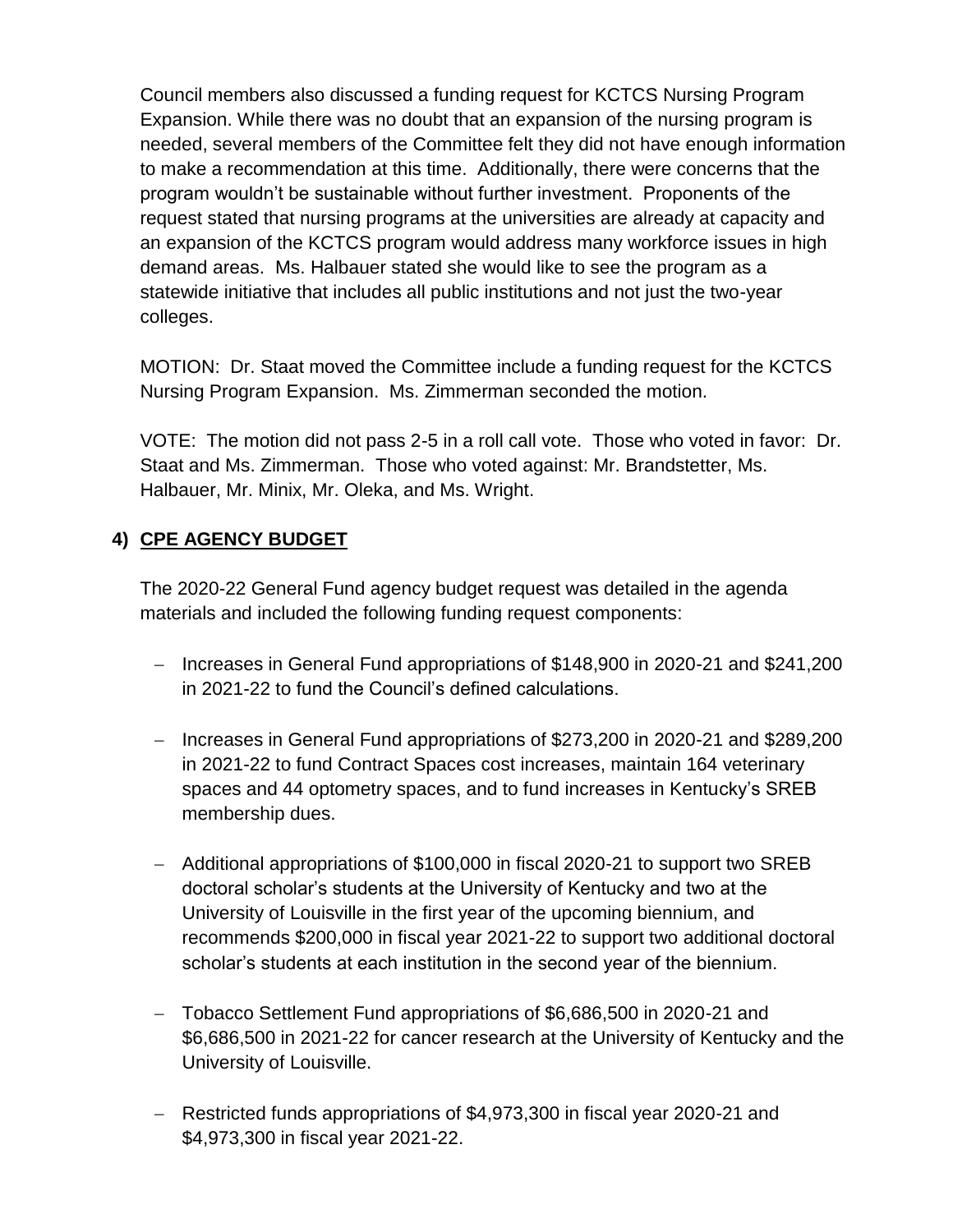Council members also discussed a funding request for KCTCS Nursing Program Expansion. While there was no doubt that an expansion of the nursing program is needed, several members of the Committee felt they did not have enough information to make a recommendation at this time. Additionally, there were concerns that the program wouldn't be sustainable without further investment. Proponents of the request stated that nursing programs at the universities are already at capacity and an expansion of the KCTCS program would address many workforce issues in high demand areas. Ms. Halbauer stated she would like to see the program as a statewide initiative that includes all public institutions and not just the two-year colleges.

MOTION: Dr. Staat moved the Committee include a funding request for the KCTCS Nursing Program Expansion. Ms. Zimmerman seconded the motion.

VOTE: The motion did not pass 2-5 in a roll call vote. Those who voted in favor: Dr. Staat and Ms. Zimmerman. Those who voted against: Mr. Brandstetter, Ms. Halbauer, Mr. Minix, Mr. Oleka, and Ms. Wright.

## **4) CPE AGENCY BUDGET**

The 2020-22 General Fund agency budget request was detailed in the agenda materials and included the following funding request components:

- Increases in General Fund appropriations of \$148,900 in 2020-21 and \$241,200 in 2021-22 to fund the Council's defined calculations.
- Increases in General Fund appropriations of \$273,200 in 2020-21 and \$289,200 in 2021-22 to fund Contract Spaces cost increases, maintain 164 veterinary spaces and 44 optometry spaces, and to fund increases in Kentucky's SREB membership dues.
- Additional appropriations of \$100,000 in fiscal 2020-21 to support two SREB doctoral scholar's students at the University of Kentucky and two at the University of Louisville in the first year of the upcoming biennium, and recommends \$200,000 in fiscal year 2021-22 to support two additional doctoral scholar's students at each institution in the second year of the biennium.
- Tobacco Settlement Fund appropriations of \$6,686,500 in 2020-21 and \$6,686,500 in 2021-22 for cancer research at the University of Kentucky and the University of Louisville.
- Restricted funds appropriations of \$4,973,300 in fiscal year 2020-21 and \$4,973,300 in fiscal year 2021-22.